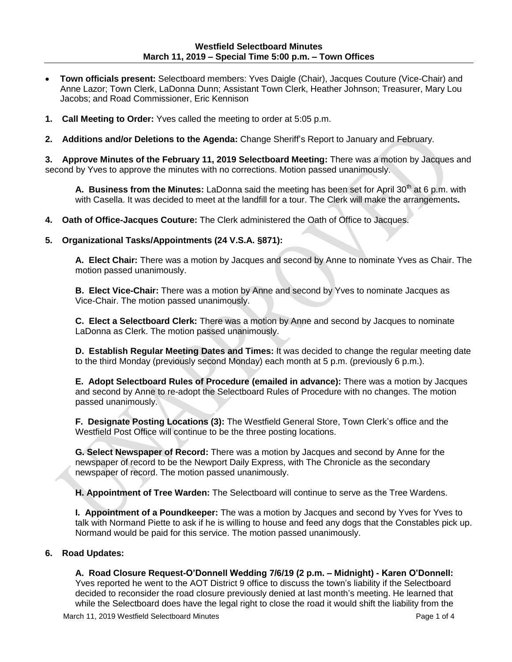- **Town officials present:** Selectboard members: Yves Daigle (Chair), Jacques Couture (Vice-Chair) and Anne Lazor; Town Clerk, LaDonna Dunn; Assistant Town Clerk, Heather Johnson; Treasurer, Mary Lou Jacobs; and Road Commissioner, Eric Kennison
- **1. Call Meeting to Order:** Yves called the meeting to order at 5:05 p.m.
- **2. Additions and/or Deletions to the Agenda:** Change Sheriff's Report to January and February.

**3. Approve Minutes of the February 11, 2019 Selectboard Meeting:** There was a motion by Jacques and second by Yves to approve the minutes with no corrections. Motion passed unanimously.

A. Business from the Minutes: LaDonna said the meeting has been set for April 30<sup>th</sup> at 6 p.m. with with Casella. It was decided to meet at the landfill for a tour. The Clerk will make the arrangements**.**

**4. Oath of Office-Jacques Couture:** The Clerk administered the Oath of Office to Jacques.

#### **5. Organizational Tasks/Appointments (24 V.S.A. §871):**

**A. Elect Chair:** There was a motion by Jacques and second by Anne to nominate Yves as Chair. The motion passed unanimously.

**B. Elect Vice-Chair:** There was a motion by Anne and second by Yves to nominate Jacques as Vice-Chair. The motion passed unanimously.

**C. Elect a Selectboard Clerk:** There was a motion by Anne and second by Jacques to nominate LaDonna as Clerk. The motion passed unanimously.

**D. Establish Regular Meeting Dates and Times:** It was decided to change the regular meeting date to the third Monday (previously second Monday) each month at 5 p.m. (previously 6 p.m.).

**E. Adopt Selectboard Rules of Procedure (emailed in advance):** There was a motion by Jacques and second by Anne to re-adopt the Selectboard Rules of Procedure with no changes. The motion passed unanimously.

**F. Designate Posting Locations (3):** The Westfield General Store, Town Clerk's office and the Westfield Post Office will continue to be the three posting locations.

**G. Select Newspaper of Record:** There was a motion by Jacques and second by Anne for the newspaper of record to be the Newport Daily Express, with The Chronicle as the secondary newspaper of record. The motion passed unanimously.

**H. Appointment of Tree Warden:** The Selectboard will continue to serve as the Tree Wardens.

**I. Appointment of a Poundkeeper:** The was a motion by Jacques and second by Yves for Yves to talk with Normand Piette to ask if he is willing to house and feed any dogs that the Constables pick up. Normand would be paid for this service. The motion passed unanimously.

## **6. Road Updates:**

## **A. Road Closure Request-O'Donnell Wedding 7/6/19 (2 p.m. – Midnight) - Karen O'Donnell:**

Yves reported he went to the AOT District 9 office to discuss the town's liability if the Selectboard decided to reconsider the road closure previously denied at last month's meeting. He learned that while the Selectboard does have the legal right to close the road it would shift the liability from the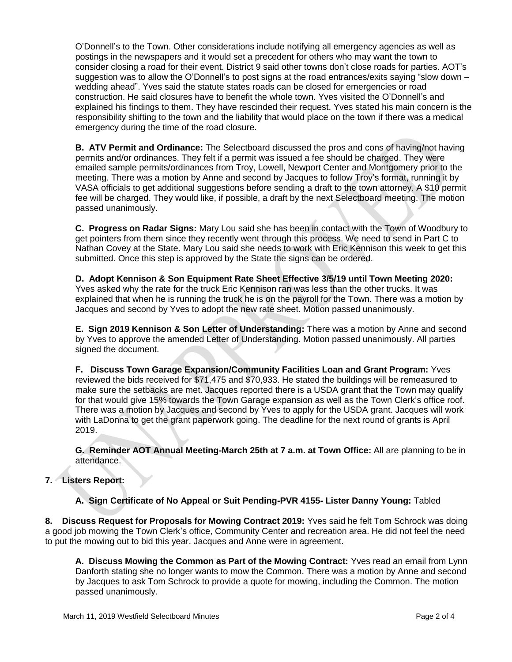O'Donnell's to the Town. Other considerations include notifying all emergency agencies as well as postings in the newspapers and it would set a precedent for others who may want the town to consider closing a road for their event. District 9 said other towns don't close roads for parties. AOT's suggestion was to allow the O'Donnell's to post signs at the road entrances/exits saying "slow down – wedding ahead". Yves said the statute states roads can be closed for emergencies or road construction. He said closures have to benefit the whole town. Yves visited the O'Donnell's and explained his findings to them. They have rescinded their request. Yves stated his main concern is the responsibility shifting to the town and the liability that would place on the town if there was a medical emergency during the time of the road closure.

**B. ATV Permit and Ordinance:** The Selectboard discussed the pros and cons of having/not having permits and/or ordinances. They felt if a permit was issued a fee should be charged. They were emailed sample permits/ordinances from Troy, Lowell, Newport Center and Montgomery prior to the meeting. There was a motion by Anne and second by Jacques to follow Troy's format, running it by VASA officials to get additional suggestions before sending a draft to the town attorney. A \$10 permit fee will be charged. They would like, if possible, a draft by the next Selectboard meeting. The motion passed unanimously.

**C. Progress on Radar Signs:** Mary Lou said she has been in contact with the Town of Woodbury to get pointers from them since they recently went through this process. We need to send in Part C to Nathan Covey at the State. Mary Lou said she needs to work with Eric Kennison this week to get this submitted. Once this step is approved by the State the signs can be ordered.

**D. Adopt Kennison & Son Equipment Rate Sheet Effective 3/5/19 until Town Meeting 2020:** Yves asked why the rate for the truck Eric Kennison ran was less than the other trucks. It was explained that when he is running the truck he is on the payroll for the Town. There was a motion by Jacques and second by Yves to adopt the new rate sheet. Motion passed unanimously.

**E. Sign 2019 Kennison & Son Letter of Understanding:** There was a motion by Anne and second by Yves to approve the amended Letter of Understanding. Motion passed unanimously. All parties signed the document.

**F. Discuss Town Garage Expansion/Community Facilities Loan and Grant Program:** Yves reviewed the bids received for \$71,475 and \$70,933. He stated the buildings will be remeasured to make sure the setbacks are met. Jacques reported there is a USDA grant that the Town may qualify for that would give 15% towards the Town Garage expansion as well as the Town Clerk's office roof. There was a motion by Jacques and second by Yves to apply for the USDA grant. Jacques will work with LaDonna to get the grant paperwork going. The deadline for the next round of grants is April 2019.

**G. Reminder AOT Annual Meeting-March 25th at 7 a.m. at Town Office:** All are planning to be in attendance.

# **7. Listers Report:**

**A. Sign Certificate of No Appeal or Suit Pending-PVR 4155- Lister Danny Young:** Tabled

**8. Discuss Request for Proposals for Mowing Contract 2019:** Yves said he felt Tom Schrock was doing a good job mowing the Town Clerk's office, Community Center and recreation area. He did not feel the need to put the mowing out to bid this year. Jacques and Anne were in agreement.

**A. Discuss Mowing the Common as Part of the Mowing Contract:** Yves read an email from Lynn Danforth stating she no longer wants to mow the Common. There was a motion by Anne and second by Jacques to ask Tom Schrock to provide a quote for mowing, including the Common. The motion passed unanimously.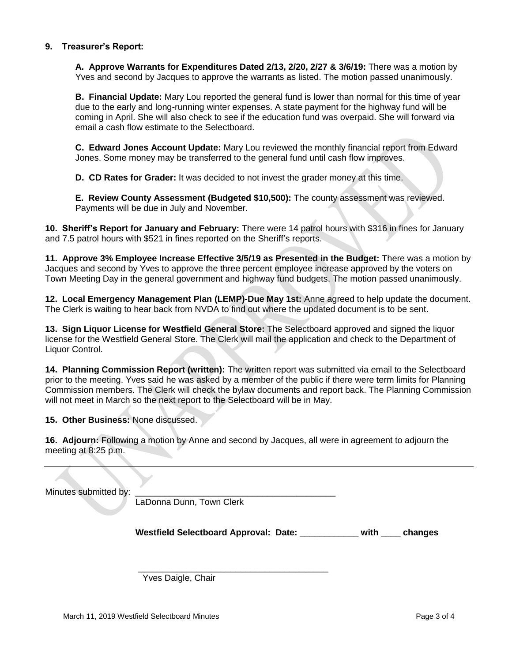## **9. Treasurer's Report:**

**A. Approve Warrants for Expenditures Dated 2/13, 2/20, 2/27 & 3/6/19:** There was a motion by Yves and second by Jacques to approve the warrants as listed. The motion passed unanimously.

**B. Financial Update:** Mary Lou reported the general fund is lower than normal for this time of year due to the early and long-running winter expenses. A state payment for the highway fund will be coming in April. She will also check to see if the education fund was overpaid. She will forward via email a cash flow estimate to the Selectboard.

**C. Edward Jones Account Update:** Mary Lou reviewed the monthly financial report from Edward Jones. Some money may be transferred to the general fund until cash flow improves.

**D. CD Rates for Grader:** It was decided to not invest the grader money at this time.

**E. Review County Assessment (Budgeted \$10,500):** The county assessment was reviewed. Payments will be due in July and November.

**10. Sheriff's Report for January and February:** There were 14 patrol hours with \$316 in fines for January and 7.5 patrol hours with \$521 in fines reported on the Sheriff's reports.

**11. Approve 3% Employee Increase Effective 3/5/19 as Presented in the Budget:** There was a motion by Jacques and second by Yves to approve the three percent employee increase approved by the voters on Town Meeting Day in the general government and highway fund budgets. The motion passed unanimously.

**12. Local Emergency Management Plan (LEMP)-Due May 1st:** Anne agreed to help update the document. The Clerk is waiting to hear back from NVDA to find out where the updated document is to be sent.

**13. Sign Liquor License for Westfield General Store:** The Selectboard approved and signed the liquor license for the Westfield General Store. The Clerk will mail the application and check to the Department of Liquor Control.

**14. Planning Commission Report (written):** The written report was submitted via email to the Selectboard prior to the meeting. Yves said he was asked by a member of the public if there were term limits for Planning Commission members. The Clerk will check the bylaw documents and report back. The Planning Commission will not meet in March so the next report to the Selectboard will be in May.

**15. Other Business:** None discussed.

**16. Adjourn:** Following a motion by Anne and second by Jacques, all were in agreement to adjourn the meeting at 8:25 p.m.

\_\_\_\_\_\_\_\_\_\_\_\_\_\_\_\_\_\_\_\_\_\_\_\_\_\_\_\_\_\_\_\_\_\_\_\_\_\_\_

Minutes submitted by:

LaDonna Dunn, Town Clerk

**Westfield Selectboard Approval: Date:** \_\_\_\_\_\_\_\_\_\_\_\_ **with** \_\_\_\_ **changes**

Yves Daigle, Chair